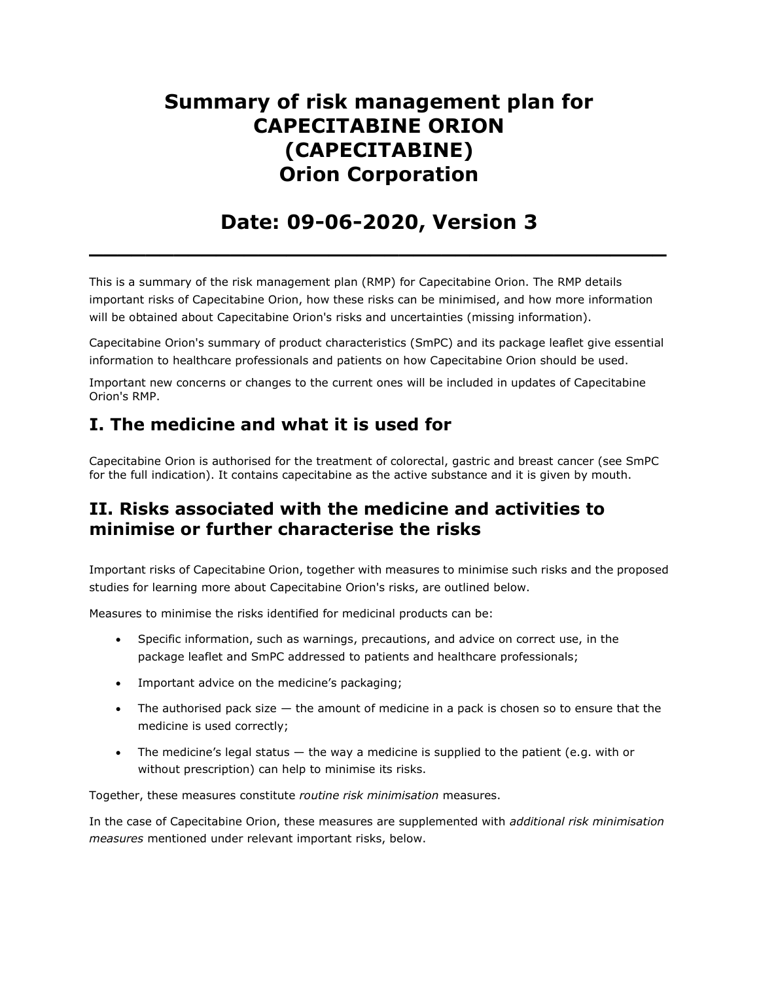# Summary of risk management plan for CAPECITABINE ORION (CAPECITABINE) Orion Corporation

## Date: 09-06-2020, Version 3

 $\overline{\phantom{a}}$  , and the contract of the contract of the contract of the contract of the contract of the contract of the contract of the contract of the contract of the contract of the contract of the contract of the contrac

This is a summary of the risk management plan (RMP) for Capecitabine Orion. The RMP details important risks of Capecitabine Orion, how these risks can be minimised, and how more information will be obtained about Capecitabine Orion's risks and uncertainties (missing information).

Capecitabine Orion's summary of product characteristics (SmPC) and its package leaflet give essential information to healthcare professionals and patients on how Capecitabine Orion should be used.

Important new concerns or changes to the current ones will be included in updates of Capecitabine Orion's RMP.

### I. The medicine and what it is used for

Capecitabine Orion is authorised for the treatment of colorectal, gastric and breast cancer (see SmPC for the full indication). It contains capecitabine as the active substance and it is given by mouth.

### II. Risks associated with the medicine and activities to minimise or further characterise the risks

Important risks of Capecitabine Orion, together with measures to minimise such risks and the proposed studies for learning more about Capecitabine Orion's risks, are outlined below.

Measures to minimise the risks identified for medicinal products can be:

- Specific information, such as warnings, precautions, and advice on correct use, in the package leaflet and SmPC addressed to patients and healthcare professionals;
- Important advice on the medicine's packaging;
- $\bullet$  The authorised pack size  $-$  the amount of medicine in a pack is chosen so to ensure that the medicine is used correctly;
- The medicine's legal status  $-$  the way a medicine is supplied to the patient (e.g. with or without prescription) can help to minimise its risks.

Together, these measures constitute routine risk minimisation measures.

In the case of Capecitabine Orion, these measures are supplemented with additional risk minimisation measures mentioned under relevant important risks, below.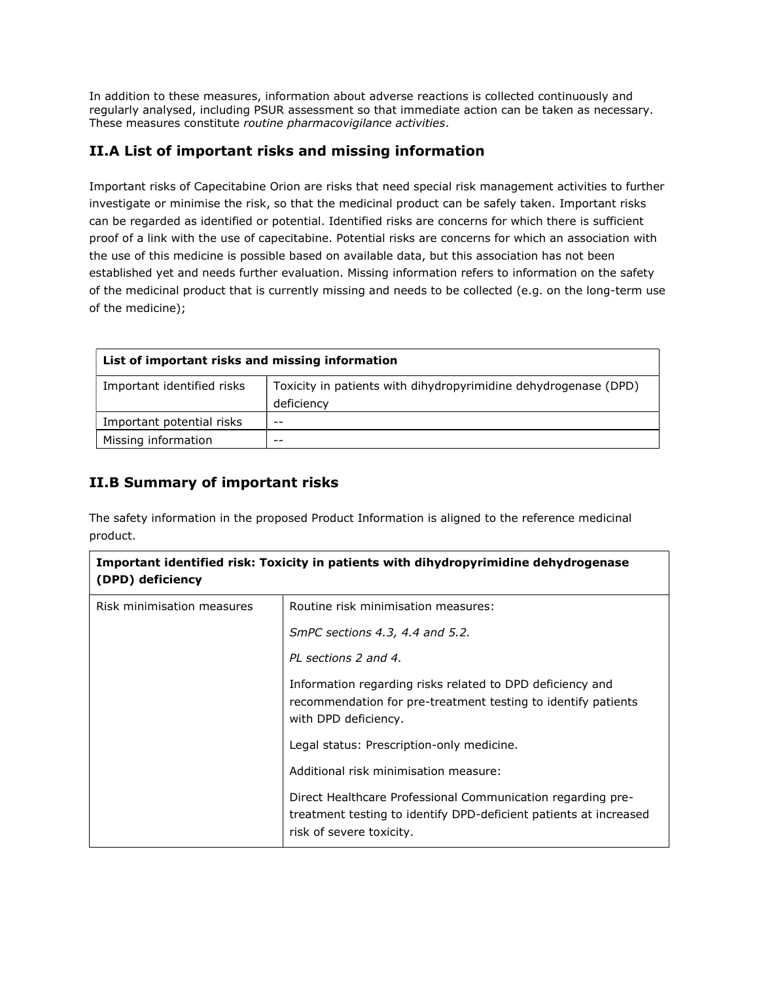In addition to these measures, information about adverse reactions is collected continuously and regularly analysed, including PSUR assessment so that immediate action can be taken as necessary. These measures constitute routine pharmacovigilance activities.

#### II.A List of important risks and missing information

Important risks of Capecitabine Orion are risks that need special risk management activities to further investigate or minimise the risk, so that the medicinal product can be safely taken. Important risks can be regarded as identified or potential. Identified risks are concerns for which there is sufficient proof of a link with the use of capecitabine. Potential risks are concerns for which an association with the use of this medicine is possible based on available data, but this association has not been established yet and needs further evaluation. Missing information refers to information on the safety of the medicinal product that is currently missing and needs to be collected (e.g. on the long-term use of the medicine);

| List of important risks and missing information |                                                                               |
|-------------------------------------------------|-------------------------------------------------------------------------------|
| Important identified risks                      | Toxicity in patients with dihydropyrimidine dehydrogenase (DPD)<br>deficiency |
| Important potential risks                       | $ -$                                                                          |
| Missing information                             | $- -$                                                                         |

#### II.B Summary of important risks

The safety information in the proposed Product Information is aligned to the reference medicinal product.

| Important identified risk: Toxicity in patients with dihydropyrimidine dehydrogenase<br>(DPD) deficiency |                                                                                                                                                              |
|----------------------------------------------------------------------------------------------------------|--------------------------------------------------------------------------------------------------------------------------------------------------------------|
| Risk minimisation measures                                                                               | Routine risk minimisation measures:                                                                                                                          |
|                                                                                                          | SmPC sections 4.3, 4.4 and 5.2.                                                                                                                              |
|                                                                                                          | PL sections 2 and 4.                                                                                                                                         |
|                                                                                                          | Information regarding risks related to DPD deficiency and<br>recommendation for pre-treatment testing to identify patients<br>with DPD deficiency.           |
|                                                                                                          | Legal status: Prescription-only medicine.                                                                                                                    |
|                                                                                                          | Additional risk minimisation measure:                                                                                                                        |
|                                                                                                          | Direct Healthcare Professional Communication regarding pre-<br>treatment testing to identify DPD-deficient patients at increased<br>risk of severe toxicity. |